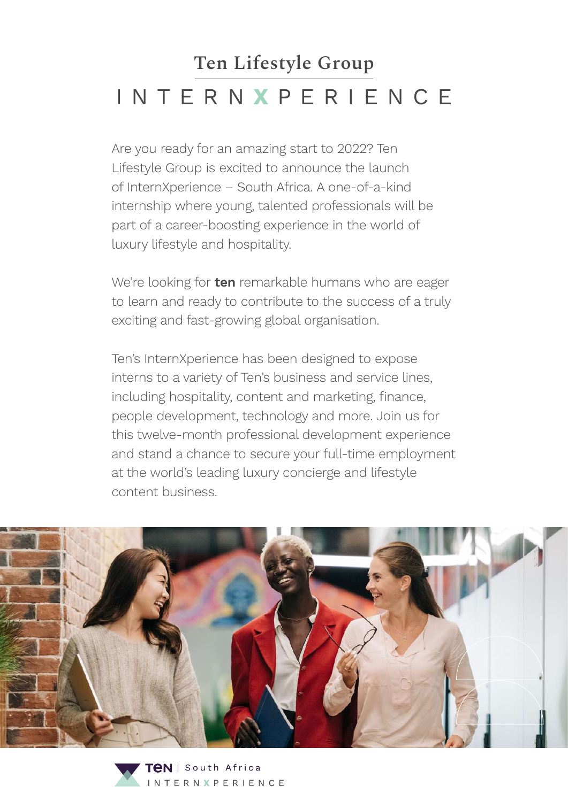# **Ten Lifestyle Group**  INTERN **X** PERIENCE

Are you ready for an amazing start to 2022? Ten Lifestyle Group is excited to announce the launch of InternXperience – South Africa. A one-of-a-kind internship where young, talented professionals will be part of a career-boosting experience in the world of luxury lifestyle and hospitality.

We're looking for **ten** remarkable humans who are eager to learn and ready to contribute to the success of a truly exciting and fast-growing global organisation.

Ten's InternXperience has been designed to expose interns to a variety of Ten's business and service lines, including hospitality, content and marketing, finance, people development, technology and more. Join us for this twelve-month professional development experience and stand a chance to secure your full-time employment at the world's leading luxury concierge and lifestyle content business.



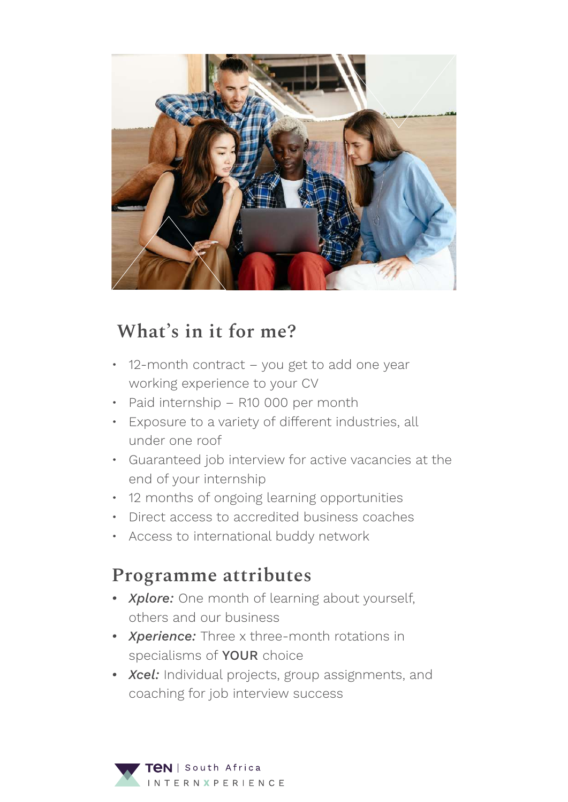

### **What's in it for me?**

- 12-month contract you get to add one year working experience to your CV
- Paid internship R10 000 per month
- Exposure to a variety of different industries, all under one roof
- Guaranteed job interview for active vacancies at the end of your internship
- 12 months of ongoing learning opportunities
- Direct access to accredited business coaches
- Access to international buddy network

#### **Programme attributes**

- *• Xplore:* One month of learning about yourself, others and our business
- *• Xperience:* Three x three-month rotations in specialisms of **YOUR** choice
- *• Xcel:* Individual projects, group assignments, and coaching for job interview success